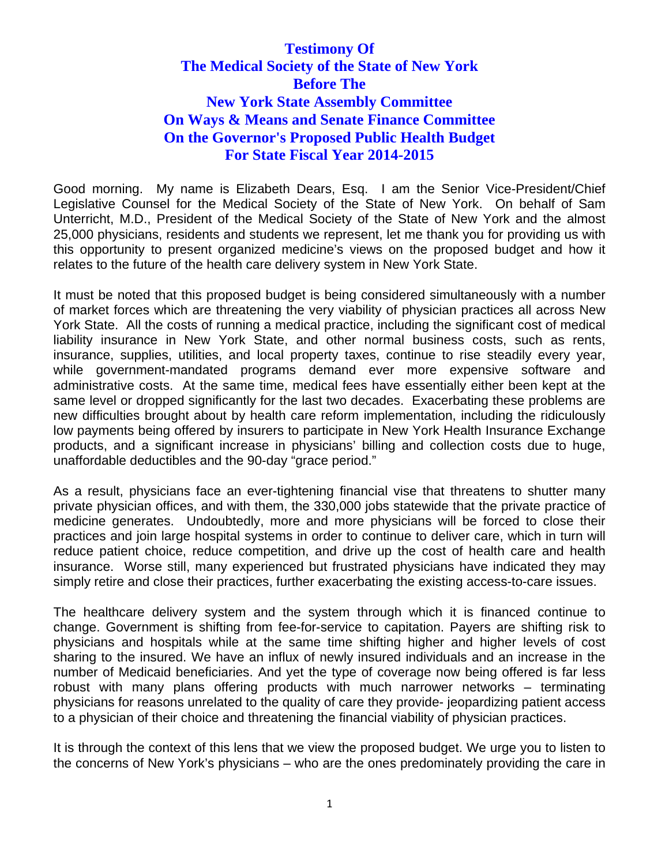# **Testimony Of The Medical Society of the State of New York Before The New York State Assembly Committee On Ways & Means and Senate Finance Committee On the Governor's Proposed Public Health Budget For State Fiscal Year 2014-2015**

Good morning. My name is Elizabeth Dears, Esq. I am the Senior Vice-President/Chief Legislative Counsel for the Medical Society of the State of New York. On behalf of Sam Unterricht, M.D., President of the Medical Society of the State of New York and the almost 25,000 physicians, residents and students we represent, let me thank you for providing us with this opportunity to present organized medicine's views on the proposed budget and how it relates to the future of the health care delivery system in New York State.

It must be noted that this proposed budget is being considered simultaneously with a number of market forces which are threatening the very viability of physician practices all across New York State. All the costs of running a medical practice, including the significant cost of medical liability insurance in New York State, and other normal business costs, such as rents, insurance, supplies, utilities, and local property taxes, continue to rise steadily every year, while government-mandated programs demand ever more expensive software and administrative costs. At the same time, medical fees have essentially either been kept at the same level or dropped significantly for the last two decades. Exacerbating these problems are new difficulties brought about by health care reform implementation, including the ridiculously low payments being offered by insurers to participate in New York Health Insurance Exchange products, and a significant increase in physicians' billing and collection costs due to huge, unaffordable deductibles and the 90-day "grace period."

As a result, physicians face an ever-tightening financial vise that threatens to shutter many private physician offices, and with them, the 330,000 jobs statewide that the private practice of medicine generates. Undoubtedly, more and more physicians will be forced to close their practices and join large hospital systems in order to continue to deliver care, which in turn will reduce patient choice, reduce competition, and drive up the cost of health care and health insurance. Worse still, many experienced but frustrated physicians have indicated they may simply retire and close their practices, further exacerbating the existing access-to-care issues.

The healthcare delivery system and the system through which it is financed continue to change. Government is shifting from fee-for-service to capitation. Payers are shifting risk to physicians and hospitals while at the same time shifting higher and higher levels of cost sharing to the insured. We have an influx of newly insured individuals and an increase in the number of Medicaid beneficiaries. And yet the type of coverage now being offered is far less robust with many plans offering products with much narrower networks – terminating physicians for reasons unrelated to the quality of care they provide- jeopardizing patient access to a physician of their choice and threatening the financial viability of physician practices.

It is through the context of this lens that we view the proposed budget. We urge you to listen to the concerns of New York's physicians – who are the ones predominately providing the care in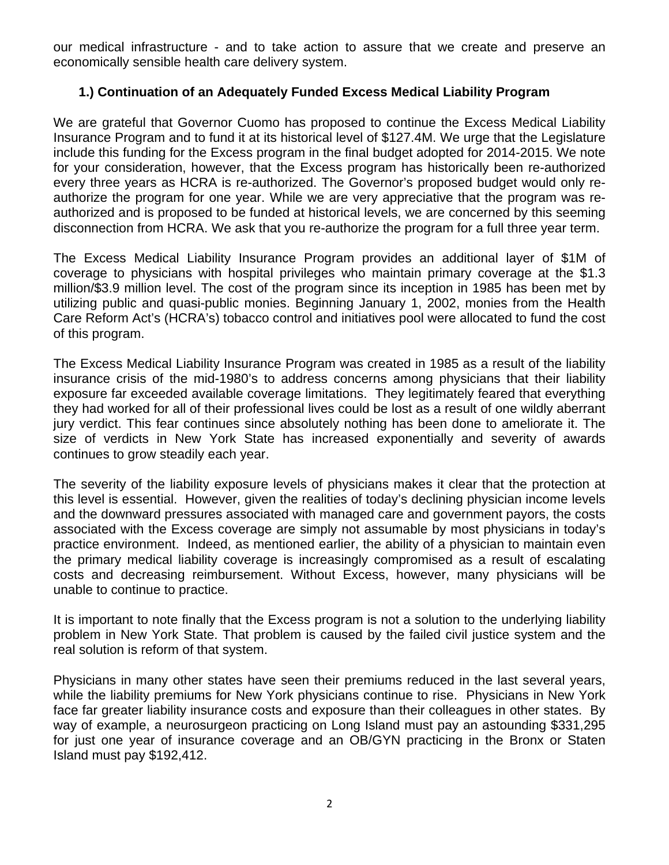our medical infrastructure - and to take action to assure that we create and preserve an economically sensible health care delivery system.

### **1.) Continuation of an Adequately Funded Excess Medical Liability Program**

We are grateful that Governor Cuomo has proposed to continue the Excess Medical Liability Insurance Program and to fund it at its historical level of \$127.4M. We urge that the Legislature include this funding for the Excess program in the final budget adopted for 2014-2015. We note for your consideration, however, that the Excess program has historically been re-authorized every three years as HCRA is re-authorized. The Governor's proposed budget would only reauthorize the program for one year. While we are very appreciative that the program was reauthorized and is proposed to be funded at historical levels, we are concerned by this seeming disconnection from HCRA. We ask that you re-authorize the program for a full three year term.

The Excess Medical Liability Insurance Program provides an additional layer of \$1M of coverage to physicians with hospital privileges who maintain primary coverage at the \$1.3 million/\$3.9 million level. The cost of the program since its inception in 1985 has been met by utilizing public and quasi-public monies. Beginning January 1, 2002, monies from the Health Care Reform Act's (HCRA's) tobacco control and initiatives pool were allocated to fund the cost of this program.

The Excess Medical Liability Insurance Program was created in 1985 as a result of the liability insurance crisis of the mid-1980's to address concerns among physicians that their liability exposure far exceeded available coverage limitations. They legitimately feared that everything they had worked for all of their professional lives could be lost as a result of one wildly aberrant jury verdict. This fear continues since absolutely nothing has been done to ameliorate it. The size of verdicts in New York State has increased exponentially and severity of awards continues to grow steadily each year.

The severity of the liability exposure levels of physicians makes it clear that the protection at this level is essential. However, given the realities of today's declining physician income levels and the downward pressures associated with managed care and government payors, the costs associated with the Excess coverage are simply not assumable by most physicians in today's practice environment. Indeed, as mentioned earlier, the ability of a physician to maintain even the primary medical liability coverage is increasingly compromised as a result of escalating costs and decreasing reimbursement. Without Excess, however, many physicians will be unable to continue to practice.

It is important to note finally that the Excess program is not a solution to the underlying liability problem in New York State. That problem is caused by the failed civil justice system and the real solution is reform of that system.

Physicians in many other states have seen their premiums reduced in the last several years, while the liability premiums for New York physicians continue to rise. Physicians in New York face far greater liability insurance costs and exposure than their colleagues in other states. By way of example, a neurosurgeon practicing on Long Island must pay an astounding \$331,295 for just one year of insurance coverage and an OB/GYN practicing in the Bronx or Staten Island must pay \$192,412.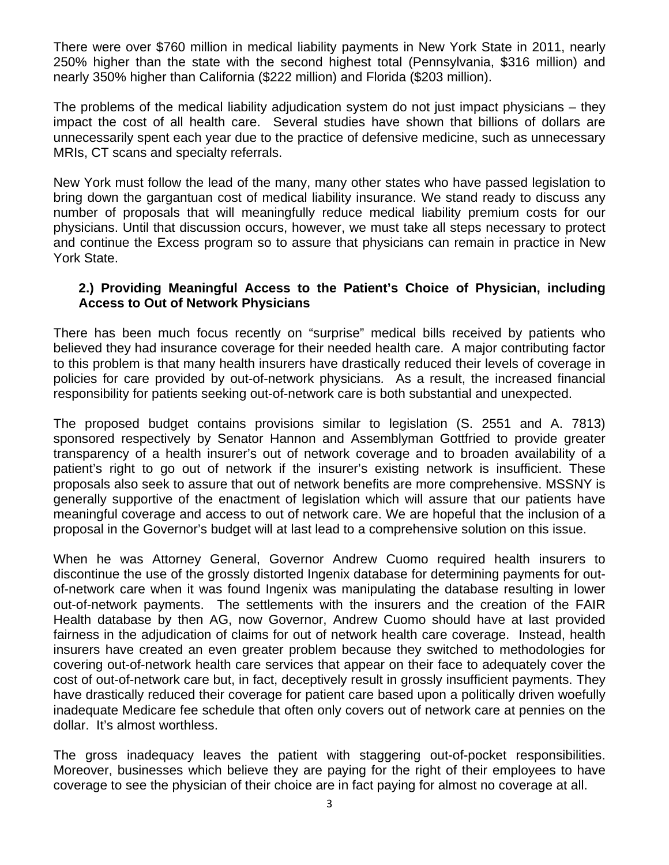There were over \$760 million in medical liability payments in New York State in 2011, nearly 250% higher than the state with the second highest total (Pennsylvania, \$316 million) and nearly 350% higher than California (\$222 million) and Florida (\$203 million).

The problems of the medical liability adjudication system do not just impact physicians – they impact the cost of all health care. Several studies have shown that billions of dollars are unnecessarily spent each year due to the practice of defensive medicine, such as unnecessary MRIs, CT scans and specialty referrals.

New York must follow the lead of the many, many other states who have passed legislation to bring down the gargantuan cost of medical liability insurance. We stand ready to discuss any number of proposals that will meaningfully reduce medical liability premium costs for our physicians. Until that discussion occurs, however, we must take all steps necessary to protect and continue the Excess program so to assure that physicians can remain in practice in New York State.

#### **2.) Providing Meaningful Access to the Patient's Choice of Physician, including Access to Out of Network Physicians**

There has been much focus recently on "surprise" medical bills received by patients who believed they had insurance coverage for their needed health care. A major contributing factor to this problem is that many health insurers have drastically reduced their levels of coverage in policies for care provided by out-of-network physicians*.* As a result, the increased financial responsibility for patients seeking out-of-network care is both substantial and unexpected.

The proposed budget contains provisions similar to legislation (S. 2551 and A. 7813) sponsored respectively by Senator Hannon and Assemblyman Gottfried to provide greater transparency of a health insurer's out of network coverage and to broaden availability of a patient's right to go out of network if the insurer's existing network is insufficient. These proposals also seek to assure that out of network benefits are more comprehensive. MSSNY is generally supportive of the enactment of legislation which will assure that our patients have meaningful coverage and access to out of network care. We are hopeful that the inclusion of a proposal in the Governor's budget will at last lead to a comprehensive solution on this issue.

When he was Attorney General, Governor Andrew Cuomo required health insurers to discontinue the use of the grossly distorted Ingenix database for determining payments for outof-network care when it was found Ingenix was manipulating the database resulting in lower out-of-network payments. The settlements with the insurers and the creation of the FAIR Health database by then AG, now Governor, Andrew Cuomo should have at last provided fairness in the adjudication of claims for out of network health care coverage. Instead, health insurers have created an even greater problem because they switched to methodologies for covering out-of-network health care services that appear on their face to adequately cover the cost of out-of-network care but, in fact, deceptively result in grossly insufficient payments. They have drastically reduced their coverage for patient care based upon a politically driven woefully inadequate Medicare fee schedule that often only covers out of network care at pennies on the dollar. It's almost worthless.

The gross inadequacy leaves the patient with staggering out-of-pocket responsibilities. Moreover, businesses which believe they are paying for the right of their employees to have coverage to see the physician of their choice are in fact paying for almost no coverage at all.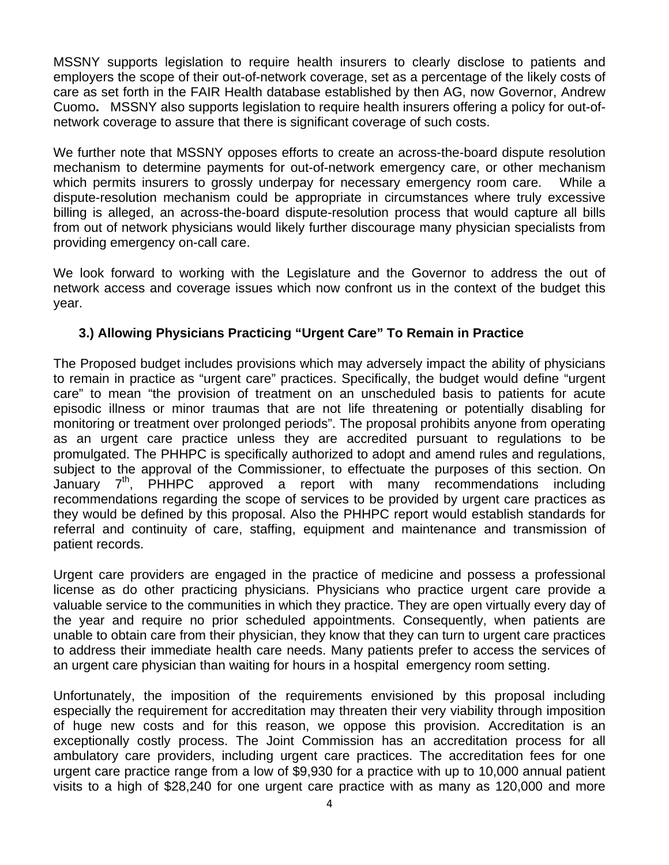MSSNY supports legislation to require health insurers to clearly disclose to patients and employers the scope of their out-of-network coverage, set as a percentage of the likely costs of care as set forth in the FAIR Health database established by then AG, now Governor, Andrew Cuomo**.** MSSNY also supports legislation to require health insurers offering a policy for out-ofnetwork coverage to assure that there is significant coverage of such costs.

We further note that MSSNY opposes efforts to create an across-the-board dispute resolution mechanism to determine payments for out-of-network emergency care, or other mechanism which permits insurers to grossly underpay for necessary emergency room care. While a dispute-resolution mechanism could be appropriate in circumstances where truly excessive billing is alleged, an across-the-board dispute-resolution process that would capture all bills from out of network physicians would likely further discourage many physician specialists from providing emergency on-call care.

We look forward to working with the Legislature and the Governor to address the out of network access and coverage issues which now confront us in the context of the budget this year.

### **3.) Allowing Physicians Practicing "Urgent Care" To Remain in Practice**

The Proposed budget includes provisions which may adversely impact the ability of physicians to remain in practice as "urgent care" practices. Specifically, the budget would define "urgent care" to mean "the provision of treatment on an unscheduled basis to patients for acute episodic illness or minor traumas that are not life threatening or potentially disabling for monitoring or treatment over prolonged periods". The proposal prohibits anyone from operating as an urgent care practice unless they are accredited pursuant to regulations to be promulgated. The PHHPC is specifically authorized to adopt and amend rules and regulations, subject to the approval of the Commissioner, to effectuate the purposes of this section. On January  $7<sup>th</sup>$ , PHHPC approved a report with many recommendations including recommendations regarding the scope of services to be provided by urgent care practices as they would be defined by this proposal. Also the PHHPC report would establish standards for referral and continuity of care, staffing, equipment and maintenance and transmission of patient records.

Urgent care providers are engaged in the practice of medicine and possess a professional license as do other practicing physicians. Physicians who practice urgent care provide a valuable service to the communities in which they practice. They are open virtually every day of the year and require no prior scheduled appointments. Consequently, when patients are unable to obtain care from their physician, they know that they can turn to urgent care practices to address their immediate health care needs. Many patients prefer to access the services of an urgent care physician than waiting for hours in a hospital emergency room setting.

Unfortunately, the imposition of the requirements envisioned by this proposal including especially the requirement for accreditation may threaten their very viability through imposition of huge new costs and for this reason, we oppose this provision. Accreditation is an exceptionally costly process. The Joint Commission has an accreditation process for all ambulatory care providers, including urgent care practices. The accreditation fees for one urgent care practice range from a low of \$9,930 for a practice with up to 10,000 annual patient visits to a high of \$28,240 for one urgent care practice with as many as 120,000 and more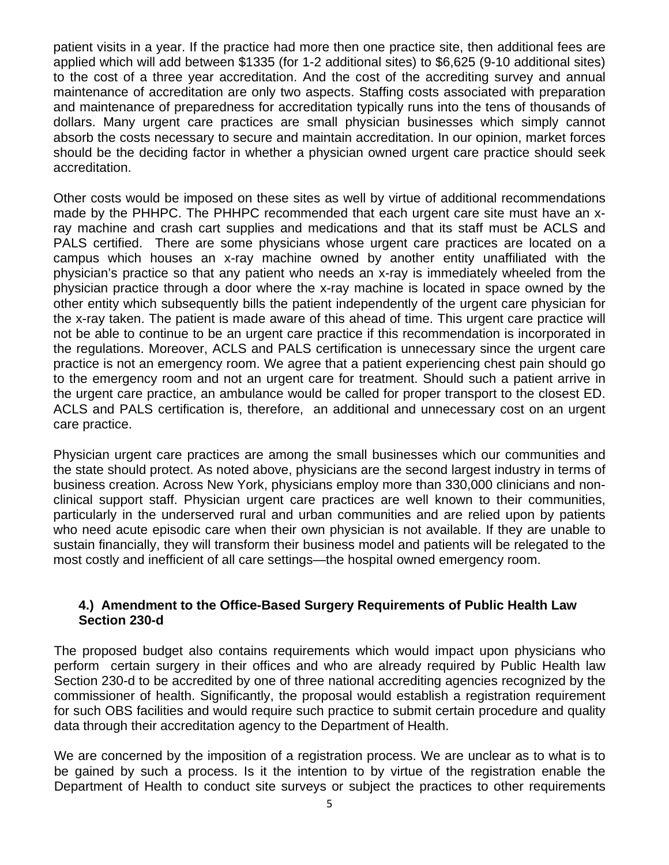patient visits in a year. If the practice had more then one practice site, then additional fees are applied which will add between \$1335 (for 1-2 additional sites) to \$6,625 (9-10 additional sites) to the cost of a three year accreditation. And the cost of the accrediting survey and annual maintenance of accreditation are only two aspects. Staffing costs associated with preparation and maintenance of preparedness for accreditation typically runs into the tens of thousands of dollars. Many urgent care practices are small physician businesses which simply cannot absorb the costs necessary to secure and maintain accreditation. In our opinion, market forces should be the deciding factor in whether a physician owned urgent care practice should seek accreditation.

Other costs would be imposed on these sites as well by virtue of additional recommendations made by the PHHPC. The PHHPC recommended that each urgent care site must have an xray machine and crash cart supplies and medications and that its staff must be ACLS and PALS certified. There are some physicians whose urgent care practices are located on a campus which houses an x-ray machine owned by another entity unaffiliated with the physician's practice so that any patient who needs an x-ray is immediately wheeled from the physician practice through a door where the x-ray machine is located in space owned by the other entity which subsequently bills the patient independently of the urgent care physician for the x-ray taken. The patient is made aware of this ahead of time. This urgent care practice will not be able to continue to be an urgent care practice if this recommendation is incorporated in the regulations. Moreover, ACLS and PALS certification is unnecessary since the urgent care practice is not an emergency room. We agree that a patient experiencing chest pain should go to the emergency room and not an urgent care for treatment. Should such a patient arrive in the urgent care practice, an ambulance would be called for proper transport to the closest ED. ACLS and PALS certification is, therefore, an additional and unnecessary cost on an urgent care practice.

Physician urgent care practices are among the small businesses which our communities and the state should protect. As noted above, physicians are the second largest industry in terms of business creation. Across New York, physicians employ more than 330,000 clinicians and nonclinical support staff. Physician urgent care practices are well known to their communities, particularly in the underserved rural and urban communities and are relied upon by patients who need acute episodic care when their own physician is not available. If they are unable to sustain financially, they will transform their business model and patients will be relegated to the most costly and inefficient of all care settings—the hospital owned emergency room.

#### **4.) Amendment to the Office-Based Surgery Requirements of Public Health Law Section 230-d**

The proposed budget also contains requirements which would impact upon physicians who perform certain surgery in their offices and who are already required by Public Health law Section 230-d to be accredited by one of three national accrediting agencies recognized by the commissioner of health. Significantly, the proposal would establish a registration requirement for such OBS facilities and would require such practice to submit certain procedure and quality data through their accreditation agency to the Department of Health.

We are concerned by the imposition of a registration process. We are unclear as to what is to be gained by such a process. Is it the intention to by virtue of the registration enable the Department of Health to conduct site surveys or subject the practices to other requirements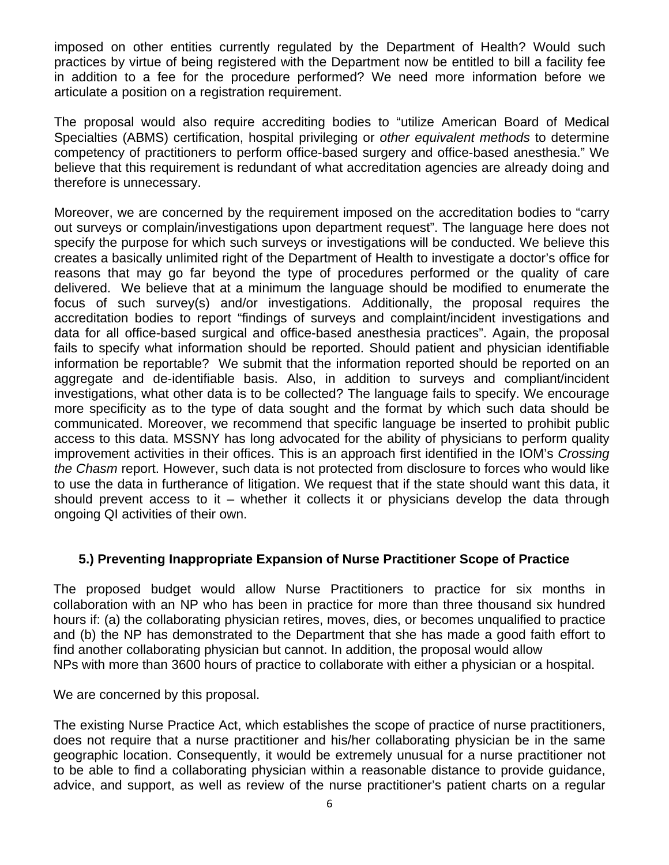imposed on other entities currently regulated by the Department of Health? Would such practices by virtue of being registered with the Department now be entitled to bill a facility fee in addition to a fee for the procedure performed? We need more information before we articulate a position on a registration requirement.

The proposal would also require accrediting bodies to "utilize American Board of Medical Specialties (ABMS) certification, hospital privileging or *other equivalent methods* to determine competency of practitioners to perform office-based surgery and office-based anesthesia." We believe that this requirement is redundant of what accreditation agencies are already doing and therefore is unnecessary.

Moreover, we are concerned by the requirement imposed on the accreditation bodies to "carry out surveys or complain/investigations upon department request". The language here does not specify the purpose for which such surveys or investigations will be conducted. We believe this creates a basically unlimited right of the Department of Health to investigate a doctor's office for reasons that may go far beyond the type of procedures performed or the quality of care delivered. We believe that at a minimum the language should be modified to enumerate the focus of such survey(s) and/or investigations. Additionally, the proposal requires the accreditation bodies to report "findings of surveys and complaint/incident investigations and data for all office-based surgical and office-based anesthesia practices". Again, the proposal fails to specify what information should be reported. Should patient and physician identifiable information be reportable? We submit that the information reported should be reported on an aggregate and de-identifiable basis. Also, in addition to surveys and compliant/incident investigations, what other data is to be collected? The language fails to specify. We encourage more specificity as to the type of data sought and the format by which such data should be communicated. Moreover, we recommend that specific language be inserted to prohibit public access to this data. MSSNY has long advocated for the ability of physicians to perform quality improvement activities in their offices. This is an approach first identified in the IOM's *Crossing the Chasm* report. However, such data is not protected from disclosure to forces who would like to use the data in furtherance of litigation. We request that if the state should want this data, it should prevent access to it – whether it collects it or physicians develop the data through ongoing QI activities of their own.

#### **5.) Preventing Inappropriate Expansion of Nurse Practitioner Scope of Practice**

The proposed budget would allow Nurse Practitioners to practice for six months in collaboration with an NP who has been in practice for more than three thousand six hundred hours if: (a) the collaborating physician retires, moves, dies, or becomes unqualified to practice and (b) the NP has demonstrated to the Department that she has made a good faith effort to find another collaborating physician but cannot. In addition, the proposal would allow NPs with more than 3600 hours of practice to collaborate with either a physician or a hospital.

We are concerned by this proposal.

The existing Nurse Practice Act, which establishes the scope of practice of nurse practitioners, does not require that a nurse practitioner and his/her collaborating physician be in the same geographic location. Consequently, it would be extremely unusual for a nurse practitioner not to be able to find a collaborating physician within a reasonable distance to provide guidance, advice, and support, as well as review of the nurse practitioner's patient charts on a regular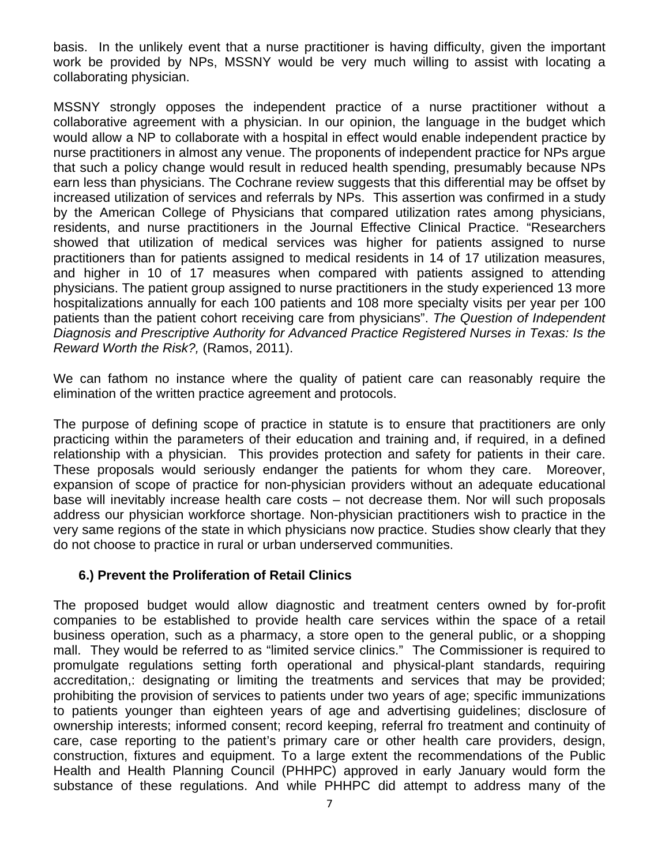basis. In the unlikely event that a nurse practitioner is having difficulty, given the important work be provided by NPs, MSSNY would be very much willing to assist with locating a collaborating physician.

MSSNY strongly opposes the independent practice of a nurse practitioner without a collaborative agreement with a physician. In our opinion, the language in the budget which would allow a NP to collaborate with a hospital in effect would enable independent practice by nurse practitioners in almost any venue. The proponents of independent practice for NPs argue that such a policy change would result in reduced health spending, presumably because NPs earn less than physicians. The Cochrane review suggests that this differential may be offset by increased utilization of services and referrals by NPs. This assertion was confirmed in a study by the American College of Physicians that compared utilization rates among physicians, residents, and nurse practitioners in the Journal Effective Clinical Practice. "Researchers showed that utilization of medical services was higher for patients assigned to nurse practitioners than for patients assigned to medical residents in 14 of 17 utilization measures, and higher in 10 of 17 measures when compared with patients assigned to attending physicians. The patient group assigned to nurse practitioners in the study experienced 13 more hospitalizations annually for each 100 patients and 108 more specialty visits per year per 100 patients than the patient cohort receiving care from physicians". *The Question of Independent Diagnosis and Prescriptive Authority for Advanced Practice Registered Nurses in Texas: Is the Reward Worth the Risk?,* (Ramos, 2011).

We can fathom no instance where the quality of patient care can reasonably require the elimination of the written practice agreement and protocols.

The purpose of defining scope of practice in statute is to ensure that practitioners are only practicing within the parameters of their education and training and, if required, in a defined relationship with a physician. This provides protection and safety for patients in their care. These proposals would seriously endanger the patients for whom they care. Moreover, expansion of scope of practice for non-physician providers without an adequate educational base will inevitably increase health care costs – not decrease them. Nor will such proposals address our physician workforce shortage. Non-physician practitioners wish to practice in the very same regions of the state in which physicians now practice. Studies show clearly that they do not choose to practice in rural or urban underserved communities.

### **6.) Prevent the Proliferation of Retail Clinics**

The proposed budget would allow diagnostic and treatment centers owned by for-profit companies to be established to provide health care services within the space of a retail business operation, such as a pharmacy, a store open to the general public, or a shopping mall. They would be referred to as "limited service clinics." The Commissioner is required to promulgate regulations setting forth operational and physical-plant standards, requiring accreditation,: designating or limiting the treatments and services that may be provided; prohibiting the provision of services to patients under two years of age; specific immunizations to patients younger than eighteen years of age and advertising guidelines; disclosure of ownership interests; informed consent; record keeping, referral fro treatment and continuity of care, case reporting to the patient's primary care or other health care providers, design, construction, fixtures and equipment. To a large extent the recommendations of the Public Health and Health Planning Council (PHHPC) approved in early January would form the substance of these regulations. And while PHHPC did attempt to address many of the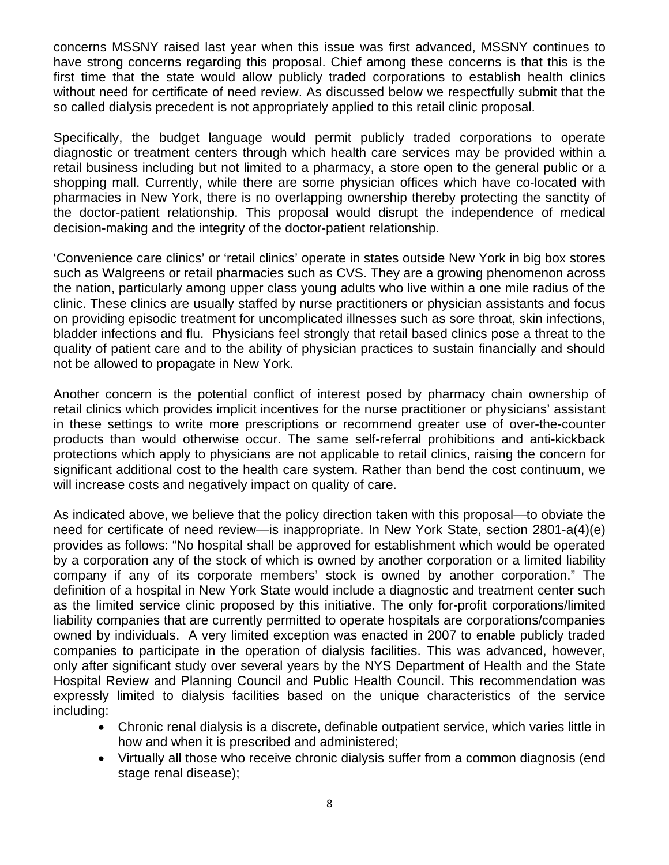concerns MSSNY raised last year when this issue was first advanced, MSSNY continues to have strong concerns regarding this proposal. Chief among these concerns is that this is the first time that the state would allow publicly traded corporations to establish health clinics without need for certificate of need review. As discussed below we respectfully submit that the so called dialysis precedent is not appropriately applied to this retail clinic proposal.

Specifically, the budget language would permit publicly traded corporations to operate diagnostic or treatment centers through which health care services may be provided within a retail business including but not limited to a pharmacy, a store open to the general public or a shopping mall. Currently, while there are some physician offices which have co-located with pharmacies in New York, there is no overlapping ownership thereby protecting the sanctity of the doctor-patient relationship. This proposal would disrupt the independence of medical decision-making and the integrity of the doctor-patient relationship.

'Convenience care clinics' or 'retail clinics' operate in states outside New York in big box stores such as Walgreens or retail pharmacies such as CVS. They are a growing phenomenon across the nation, particularly among upper class young adults who live within a one mile radius of the clinic. These clinics are usually staffed by nurse practitioners or physician assistants and focus on providing episodic treatment for uncomplicated illnesses such as sore throat, skin infections, bladder infections and flu. Physicians feel strongly that retail based clinics pose a threat to the quality of patient care and to the ability of physician practices to sustain financially and should not be allowed to propagate in New York.

Another concern is the potential conflict of interest posed by pharmacy chain ownership of retail clinics which provides implicit incentives for the nurse practitioner or physicians' assistant in these settings to write more prescriptions or recommend greater use of over-the-counter products than would otherwise occur. The same self-referral prohibitions and anti-kickback protections which apply to physicians are not applicable to retail clinics, raising the concern for significant additional cost to the health care system. Rather than bend the cost continuum, we will increase costs and negatively impact on quality of care.

As indicated above, we believe that the policy direction taken with this proposal—to obviate the need for certificate of need review—is inappropriate. In New York State, section 2801-a(4)(e) provides as follows: "No hospital shall be approved for establishment which would be operated by a corporation any of the stock of which is owned by another corporation or a limited liability company if any of its corporate members' stock is owned by another corporation." The definition of a hospital in New York State would include a diagnostic and treatment center such as the limited service clinic proposed by this initiative. The only for-profit corporations/limited liability companies that are currently permitted to operate hospitals are corporations/companies owned by individuals. A very limited exception was enacted in 2007 to enable publicly traded companies to participate in the operation of dialysis facilities. This was advanced, however, only after significant study over several years by the NYS Department of Health and the State Hospital Review and Planning Council and Public Health Council. This recommendation was expressly limited to dialysis facilities based on the unique characteristics of the service including:

- Chronic renal dialysis is a discrete, definable outpatient service, which varies little in how and when it is prescribed and administered;
- Virtually all those who receive chronic dialysis suffer from a common diagnosis (end stage renal disease);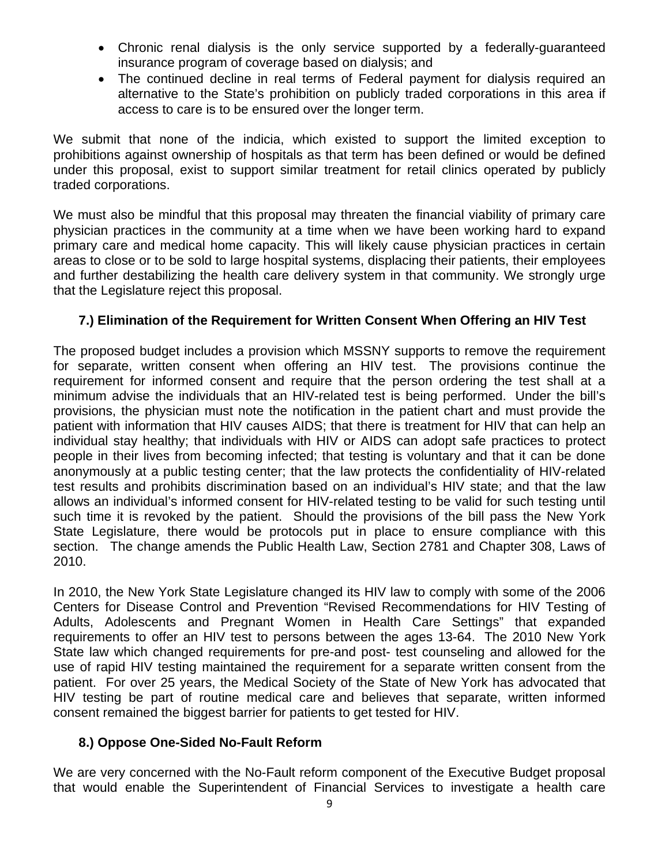- Chronic renal dialysis is the only service supported by a federally-guaranteed insurance program of coverage based on dialysis; and
- The continued decline in real terms of Federal payment for dialysis required an alternative to the State's prohibition on publicly traded corporations in this area if access to care is to be ensured over the longer term.

We submit that none of the indicia, which existed to support the limited exception to prohibitions against ownership of hospitals as that term has been defined or would be defined under this proposal, exist to support similar treatment for retail clinics operated by publicly traded corporations.

We must also be mindful that this proposal may threaten the financial viability of primary care physician practices in the community at a time when we have been working hard to expand primary care and medical home capacity. This will likely cause physician practices in certain areas to close or to be sold to large hospital systems, displacing their patients, their employees and further destabilizing the health care delivery system in that community. We strongly urge that the Legislature reject this proposal.

## **7.) Elimination of the Requirement for Written Consent When Offering an HIV Test**

The proposed budget includes a provision which MSSNY supports to remove the requirement for separate, written consent when offering an HIV test. The provisions continue the requirement for informed consent and require that the person ordering the test shall at a minimum advise the individuals that an HIV-related test is being performed. Under the bill's provisions, the physician must note the notification in the patient chart and must provide the patient with information that HIV causes AIDS; that there is treatment for HIV that can help an individual stay healthy; that individuals with HIV or AIDS can adopt safe practices to protect people in their lives from becoming infected; that testing is voluntary and that it can be done anonymously at a public testing center; that the law protects the confidentiality of HIV-related test results and prohibits discrimination based on an individual's HIV state; and that the law allows an individual's informed consent for HIV-related testing to be valid for such testing until such time it is revoked by the patient. Should the provisions of the bill pass the New York State Legislature, there would be protocols put in place to ensure compliance with this section. The change amends the Public Health Law, Section 2781 and Chapter 308, Laws of 2010.

In 2010, the New York State Legislature changed its HIV law to comply with some of the 2006 Centers for Disease Control and Prevention "Revised Recommendations for HIV Testing of Adults, Adolescents and Pregnant Women in Health Care Settings" that expanded requirements to offer an HIV test to persons between the ages 13-64. The 2010 New York State law which changed requirements for pre-and post- test counseling and allowed for the use of rapid HIV testing maintained the requirement for a separate written consent from the patient. For over 25 years, the Medical Society of the State of New York has advocated that HIV testing be part of routine medical care and believes that separate, written informed consent remained the biggest barrier for patients to get tested for HIV.

### **8.) Oppose One-Sided No-Fault Reform**

We are very concerned with the No-Fault reform component of the Executive Budget proposal that would enable the Superintendent of Financial Services to investigate a health care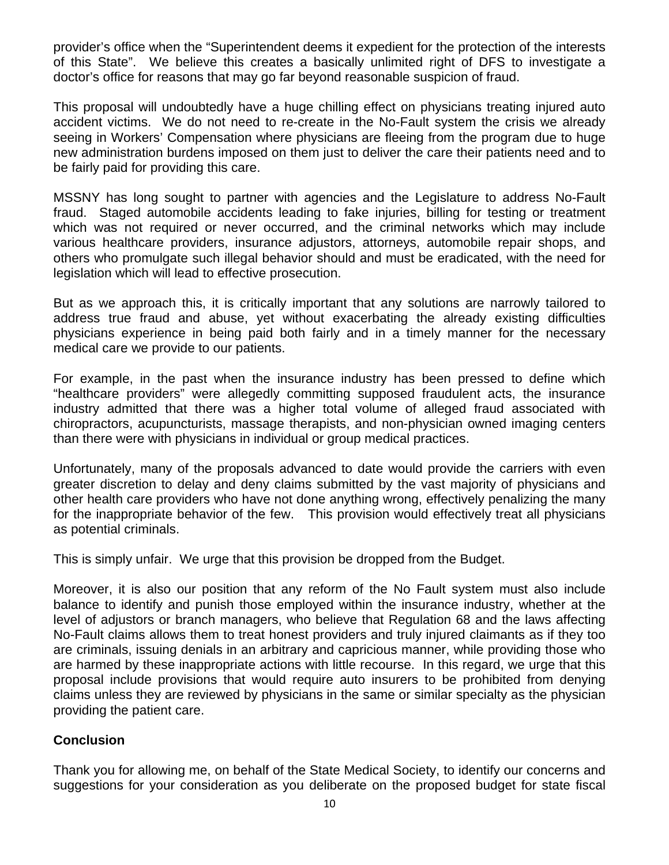provider's office when the "Superintendent deems it expedient for the protection of the interests of this State". We believe this creates a basically unlimited right of DFS to investigate a doctor's office for reasons that may go far beyond reasonable suspicion of fraud.

This proposal will undoubtedly have a huge chilling effect on physicians treating injured auto accident victims. We do not need to re-create in the No-Fault system the crisis we already seeing in Workers' Compensation where physicians are fleeing from the program due to huge new administration burdens imposed on them just to deliver the care their patients need and to be fairly paid for providing this care.

MSSNY has long sought to partner with agencies and the Legislature to address No-Fault fraud. Staged automobile accidents leading to fake injuries, billing for testing or treatment which was not required or never occurred, and the criminal networks which may include various healthcare providers, insurance adjustors, attorneys, automobile repair shops, and others who promulgate such illegal behavior should and must be eradicated, with the need for legislation which will lead to effective prosecution.

But as we approach this, it is critically important that any solutions are narrowly tailored to address true fraud and abuse, yet without exacerbating the already existing difficulties physicians experience in being paid both fairly and in a timely manner for the necessary medical care we provide to our patients.

For example, in the past when the insurance industry has been pressed to define which "healthcare providers" were allegedly committing supposed fraudulent acts, the insurance industry admitted that there was a higher total volume of alleged fraud associated with chiropractors, acupuncturists, massage therapists, and non-physician owned imaging centers than there were with physicians in individual or group medical practices.

Unfortunately, many of the proposals advanced to date would provide the carriers with even greater discretion to delay and deny claims submitted by the vast majority of physicians and other health care providers who have not done anything wrong, effectively penalizing the many for the inappropriate behavior of the few. This provision would effectively treat all physicians as potential criminals.

This is simply unfair. We urge that this provision be dropped from the Budget.

Moreover, it is also our position that any reform of the No Fault system must also include balance to identify and punish those employed within the insurance industry, whether at the level of adjustors or branch managers, who believe that Regulation 68 and the laws affecting No-Fault claims allows them to treat honest providers and truly injured claimants as if they too are criminals, issuing denials in an arbitrary and capricious manner, while providing those who are harmed by these inappropriate actions with little recourse. In this regard, we urge that this proposal include provisions that would require auto insurers to be prohibited from denying claims unless they are reviewed by physicians in the same or similar specialty as the physician providing the patient care.

#### **Conclusion**

Thank you for allowing me, on behalf of the State Medical Society, to identify our concerns and suggestions for your consideration as you deliberate on the proposed budget for state fiscal